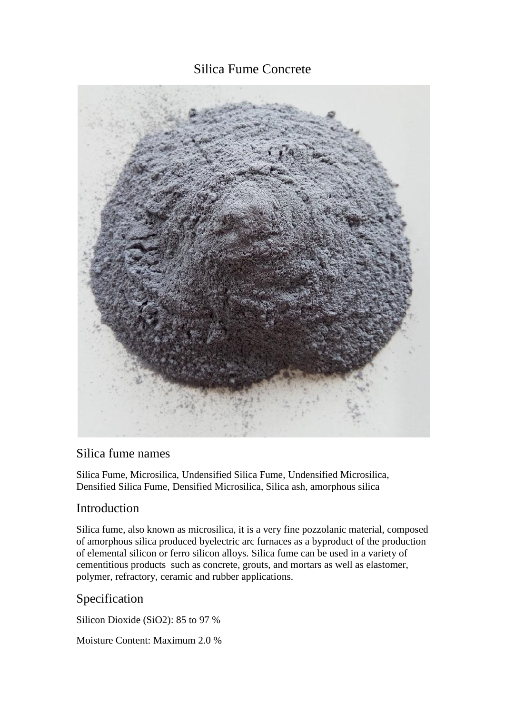# Silica Fume Concrete



## Silica fume names

Silica Fume, Microsilica, Undensified Silica Fume, Undensified Microsilica, Densified Silica Fume, Densified Microsilica, Silica ash, amorphous silica

## Introduction

Silica fume, also known as microsilica, it is a very fine pozzolanic material, composed of amorphous silica produced byelectric arc furnaces as a byproduct of the production of elemental silicon or ferro silicon alloys. Silica fume can be used in a variety of cementitious products such as concrete, grouts, and mortars as well as elastomer, polymer, refractory, ceramic and rubber applications.

## Specification

Silicon Dioxide (SiO2): 85 to 97 %

Moisture Content: Maximum 2.0 %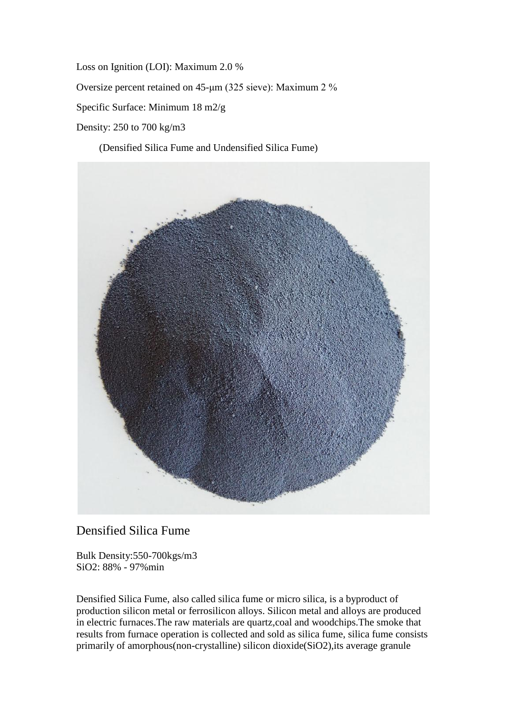Loss on Ignition (LOI): Maximum 2.0 % Oversize percent retained on 45-μm (325 sieve): Maximum 2 % Specific Surface: Minimum 18 m2/g Density: 250 to 700 kg/m3

(Densified Silica Fume and Undensified Silica Fume)



## Densified Silica Fume

Bulk Density:550-700kgs/m3 SiO2: 88% - 97%min

Densified Silica Fume, also called silica fume or micro silica, is a byproduct of production silicon metal or ferrosilicon alloys. Silicon metal and alloys are produced in electric furnaces.The raw materials are quartz,coal and woodchips.The smoke that results from furnace operation is collected and sold as silica fume, silica fume consists primarily of amorphous(non-crystalline) silicon dioxide(SiO2),its average granule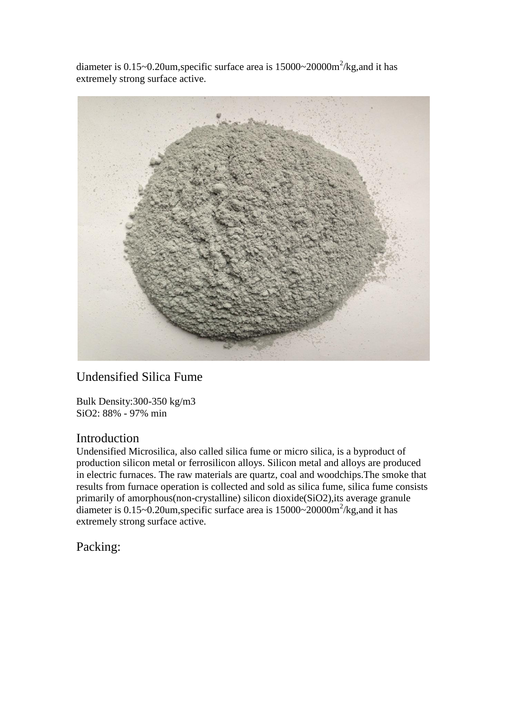diameter is  $0.15 \sim 0.20$ um, specific surface area is  $15000 \sim 20000 \text{m}^2/\text{kg}$ , and it has extremely strong surface active.



# Undensified Silica Fume

Bulk Density:300-350 kg/m3 SiO2: 88% - 97% min

### Introduction

Undensified Microsilica, also called silica fume or micro silica, is a byproduct of production silicon metal or ferrosilicon alloys. Silicon metal and alloys are produced in electric furnaces. The raw materials are quartz, coal and woodchips.The smoke that results from furnace operation is collected and sold as silica fume, silica fume consists primarily of amorphous(non-crystalline) silicon dioxide(SiO2),its average granule diameter is  $0.15 \sim 0.20$ um, specific surface area is  $15000 \sim 20000$ m<sup>2</sup>/kg, and it has extremely strong surface active.

Packing: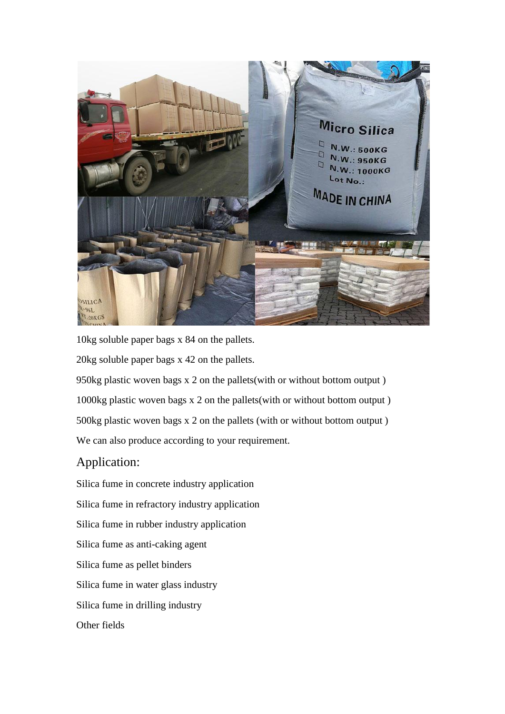

10kg soluble paper bags x 84 on the pallets.

20kg soluble paper bags x 42 on the pallets.

950kg plastic woven bags x 2 on the pallets(with or without bottom output ) 1000kg plastic woven bags x 2 on the pallets(with or without bottom output ) 500kg plastic woven bags x 2 on the pallets (with or without bottom output ) We can also produce according to your requirement.

## Application:

Silica fume in concrete industry application Silica fume in refractory industry application Silica fume in rubber industry application Silica fume as anti-caking agent Silica fume as pellet binders Silica fume in water glass industry Silica fume in drilling industry Other fields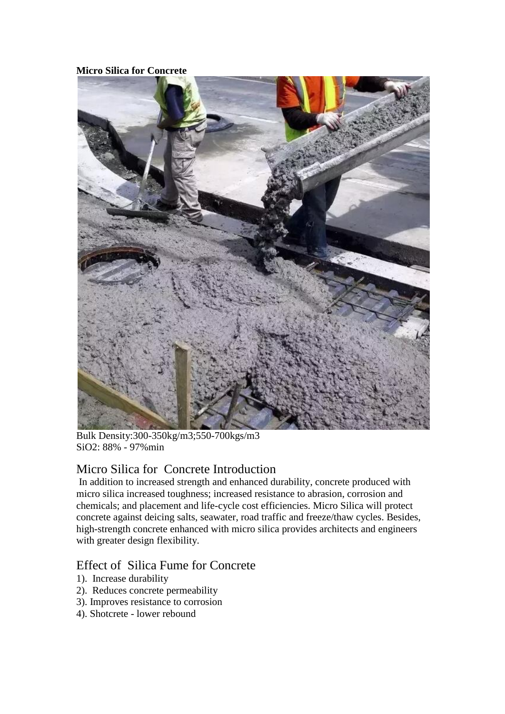#### **Micro Silica for Concrete**



Bulk Density:300-350kg/m3;550-700kgs/m3 SiO2: 88% - 97%min

# Micro Silica for Concrete Introduction

In addition to increased strength and enhanced durability, concrete produced with micro silica increased toughness; increased resistance to abrasion, corrosion and chemicals; and placement and life-cycle cost efficiencies. Micro Silica will protect concrete against deicing salts, seawater, road traffic and freeze/thaw cycles. Besides, high-strength concrete enhanced with micro silica provides architects and engineers with greater design flexibility.

## Effect of Silica Fume for Concrete

- 1). Increase durability
- 2). Reduces concrete permeability
- 3). Improves resistance to corrosion
- 4). Shotcrete lower rebound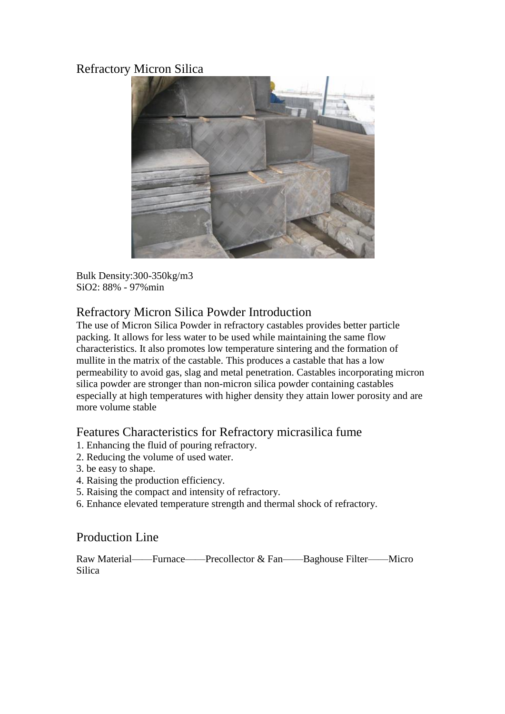# Refractory Micron Silica



Bulk Density:300-350kg/m3 SiO2: 88% - 97%min

## Refractory Micron Silica Powder Introduction

The use of Micron Silica Powder in refractory castables provides better particle packing. It allows for less water to be used while maintaining the same flow characteristics. It also promotes low temperature sintering and the formation of mullite in the matrix of the castable. This produces a castable that has a low permeability to avoid gas, slag and metal penetration. Castables incorporating micron silica powder are stronger than non-micron silica powder containing castables especially at high temperatures with higher density they attain lower porosity and are more volume stable

## Features Characteristics for Refractory micrasilica fume

- 1. Enhancing the fluid of pouring refractory.
- 2. Reducing the volume of used water.
- 3. be easy to shape.
- 4. Raising the production efficiency.
- 5. Raising the compact and intensity of refractory.
- 6. Enhance elevated temperature strength and thermal shock of refractory.

## Production Line

Raw Material——Furnace——Precollector & Fan——Baghouse Filter——Micro Silica